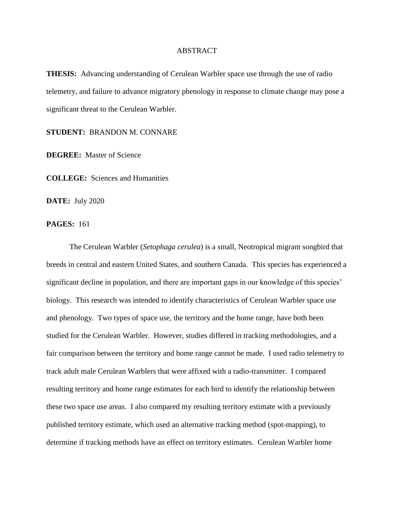## ABSTRACT

**THESIS:** Advancing understanding of Cerulean Warbler space use through the use of radio telemetry, and failure to advance migratory phenology in response to climate change may pose a significant threat to the Cerulean Warbler.

**STUDENT:** BRANDON M. CONNARE

**DEGREE:** Master of Science

**COLLEGE:** Sciences and Humanities

**DATE:** July 2020

**PAGES:** 161

The Cerulean Warbler (*Setophaga cerulea*) is a small, Neotropical migrant songbird that breeds in central and eastern United States, and southern Canada. This species has experienced a significant decline in population, and there are important gaps in our knowledge of this species' biology. This research was intended to identify characteristics of Cerulean Warbler space use and phenology. Two types of space use, the territory and the home range, have both been studied for the Cerulean Warbler. However, studies differed in tracking methodologies, and a fair comparison between the territory and home range cannot be made. I used radio telemetry to track adult male Cerulean Warblers that were affixed with a radio-transmitter. I compared resulting territory and home range estimates for each bird to identify the relationship between these two space use areas. I also compared my resulting territory estimate with a previously published territory estimate, which used an alternative tracking method (spot-mapping), to determine if tracking methods have an effect on territory estimates. Cerulean Warbler home